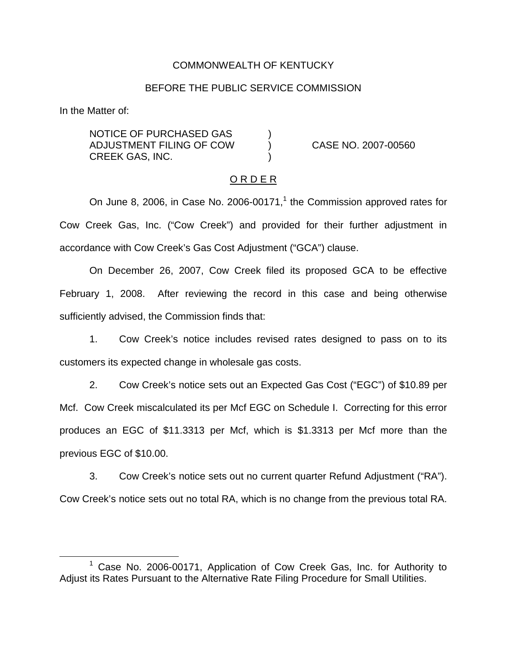### COMMONWEALTH OF KENTUCKY

#### BEFORE THE PUBLIC SERVICE COMMISSION

In the Matter of:

NOTICE OF PURCHASED GAS ) ADJUSTMENT FILING OF COW ) CASE NO. 2007-00560 CREEK GAS, INC. )

#### O R D E R

On June 8, 2006, in Case No. 2006-00171, $1$  the Commission approved rates for Cow Creek Gas, Inc. ("Cow Creek") and provided for their further adjustment in accordance with Cow Creek's Gas Cost Adjustment ("GCA") clause.

On December 26, 2007, Cow Creek filed its proposed GCA to be effective February 1, 2008. After reviewing the record in this case and being otherwise sufficiently advised, the Commission finds that:

1. Cow Creek's notice includes revised rates designed to pass on to its customers its expected change in wholesale gas costs.

2. Cow Creek's notice sets out an Expected Gas Cost ("EGC") of \$10.89 per Mcf. Cow Creek miscalculated its per Mcf EGC on Schedule I. Correcting for this error produces an EGC of \$11.3313 per Mcf, which is \$1.3313 per Mcf more than the previous EGC of \$10.00.

3. Cow Creek's notice sets out no current quarter Refund Adjustment ("RA"). Cow Creek's notice sets out no total RA, which is no change from the previous total RA.

<sup>&</sup>lt;sup>1</sup> Case No. 2006-00171, Application of Cow Creek Gas, Inc. for Authority to Adjust its Rates Pursuant to the Alternative Rate Filing Procedure for Small Utilities.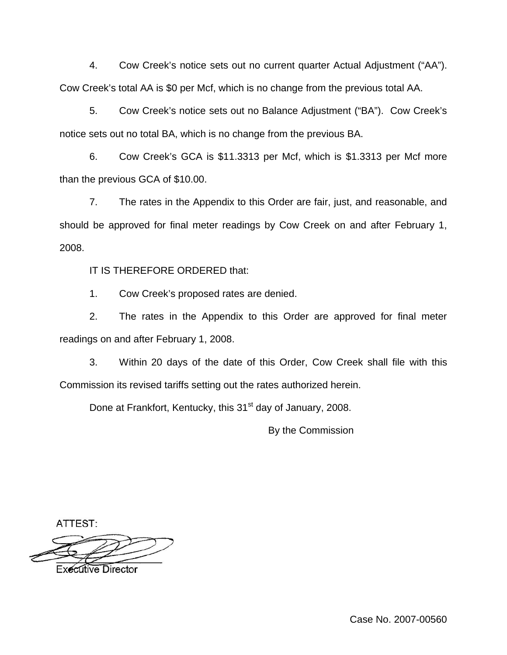4. Cow Creek's notice sets out no current quarter Actual Adjustment ("AA"). Cow Creek's total AA is \$0 per Mcf, which is no change from the previous total AA.

5. Cow Creek's notice sets out no Balance Adjustment ("BA"). Cow Creek's notice sets out no total BA, which is no change from the previous BA.

6. Cow Creek's GCA is \$11.3313 per Mcf, which is \$1.3313 per Mcf more than the previous GCA of \$10.00.

7. The rates in the Appendix to this Order are fair, just, and reasonable, and should be approved for final meter readings by Cow Creek on and after February 1, 2008.

IT IS THEREFORE ORDERED that:

1. Cow Creek's proposed rates are denied.

2. The rates in the Appendix to this Order are approved for final meter readings on and after February 1, 2008.

3. Within 20 days of the date of this Order, Cow Creek shall file with this Commission its revised tariffs setting out the rates authorized herein.

Done at Frankfort, Kentucky, this 31<sup>st</sup> day of January, 2008.

By the Commission

ATTEST:

Executive Director